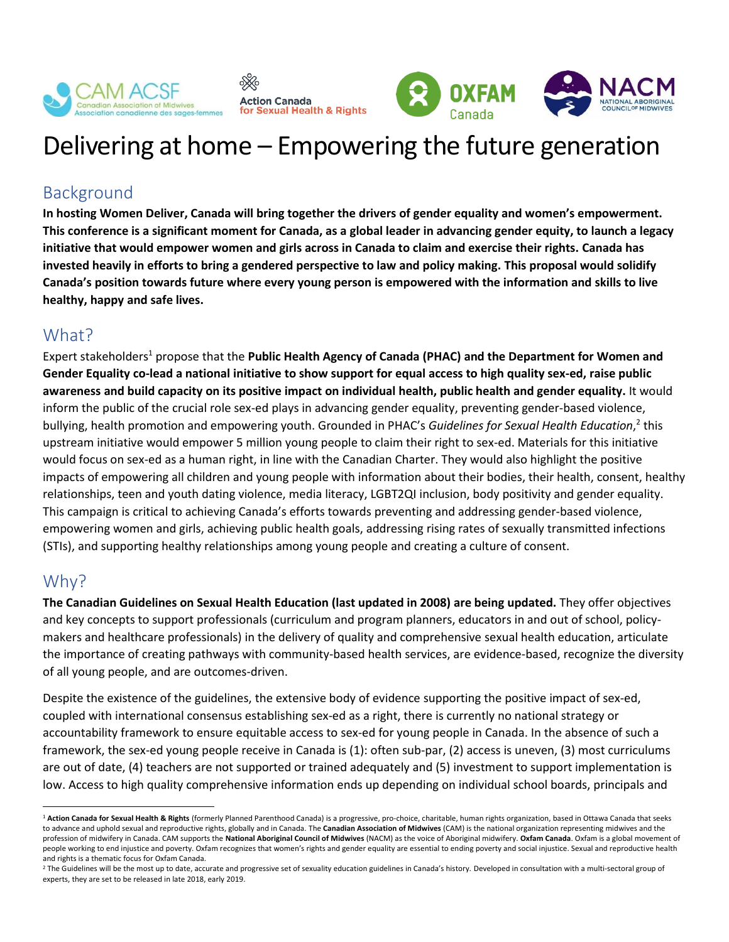



# Delivering at home – Empowering the future generation

## Background

**In hosting Women Deliver, Canada will bring together the drivers of gender equality and women's empowerment. This conference is a significant moment for Canada, as a global leader in advancing gender equity, to launch a legacy initiative that would empower women and girls across in Canada to claim and exercise their rights. Canada has invested heavily in efforts to bring a gendered perspective to law and policy making. This proposal would solidify Canada's position towards future where every young person is empowered with the information and skills to live healthy, happy and safe lives.** 

### What?

Expert stakeholders<sup>1</sup> propose that the Public Health Agency of Canada (PHAC) and the Department for Women and **Gender Equality co-lead a national initiative to show support for equal access to high quality sex-ed, raise public awareness and build capacity on its positive impact on individual health, public health and gender equality.** It would inform the public of the crucial role sex-ed plays in advancing gender equality, preventing gender-based violence, bullying, health promotion and empowering youth. Grounded in PHAC's Guidelines for Sexual Health Education,<sup>2</sup> this upstream initiative would empower 5 million young people to claim their right to sex-ed. Materials for this initiative would focus on sex-ed as a human right, in line with the Canadian Charter. They would also highlight the positive impacts of empowering all children and young people with information about their bodies, their health, consent, healthy relationships, teen and youth dating violence, media literacy, LGBT2QI inclusion, body positivity and gender equality. This campaign is critical to achieving Canada's efforts towards preventing and addressing gender-based violence, empowering women and girls, achieving public health goals, addressing rising rates of sexually transmitted infections (STIs), and supporting healthy relationships among young people and creating a culture of consent.

### Why?

 $\overline{a}$ 

**The Canadian Guidelines on Sexual Health Education (last updated in 2008) are being updated.** They offer objectives and key concepts to support professionals (curriculum and program planners, educators in and out of school, policymakers and healthcare professionals) in the delivery of quality and comprehensive sexual health education, articulate the importance of creating pathways with community-based health services, are evidence-based, recognize the diversity of all young people, and are outcomes-driven.

Despite the existence of the guidelines, the extensive body of evidence supporting the positive impact of sex-ed, coupled with international consensus establishing sex-ed as a right, there is currently no national strategy or accountability framework to ensure equitable access to sex-ed for young people in Canada. In the absence of such a framework, the sex-ed young people receive in Canada is (1): often sub-par, (2) access is uneven, (3) most curriculums are out of date, (4) teachers are not supported or trained adequately and (5) investment to support implementation is low. Access to high quality comprehensive information ends up depending on individual school boards, principals and

<sup>1</sup> **Action Canada for Sexual Health & Rights** (formerly Planned Parenthood Canada) is a progressive, pro-choice, charitable, human rights organization, based in Ottawa Canada that seeks to advance and uphold sexual and reproductive rights, globally and in Canada. The **Canadian Association of Midwives** (CAM) is the national organization representing midwives and the profession of midwifery in Canada. CAM supports the **National Aboriginal Council of Midwives** (NACM) as the voice of Aboriginal midwifery. **Oxfam Canada**. Oxfam is a global movement of people working to end injustice and poverty. Oxfam recognizes that women's rights and gender equality are essential to ending poverty and social injustice. Sexual and reproductive health and rights is a thematic focus for Oxfam Canada.

<sup>&</sup>lt;sup>2</sup> The Guidelines will be the most up to date, accurate and progressive set of sexuality education guidelines in Canada's history. Developed in consultation with a multi-sectoral group of experts, they are set to be released in late 2018, early 2019.